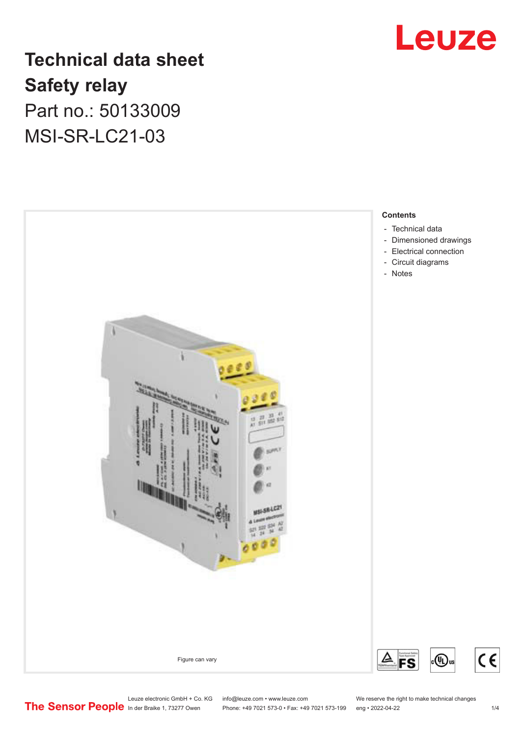

# **Technical data sheet Safety relay** Part no.: 50133009

MSI-SR-LC21-03



Leuze electronic GmbH + Co. KG info@leuze.com • www.leuze.com We reserve the right to make technical changes<br>
The Sensor People in der Braike 1, 73277 Owen Phone: +49 7021 573-0 • Fax: +49 7021 573-199 eng • 2022-04-22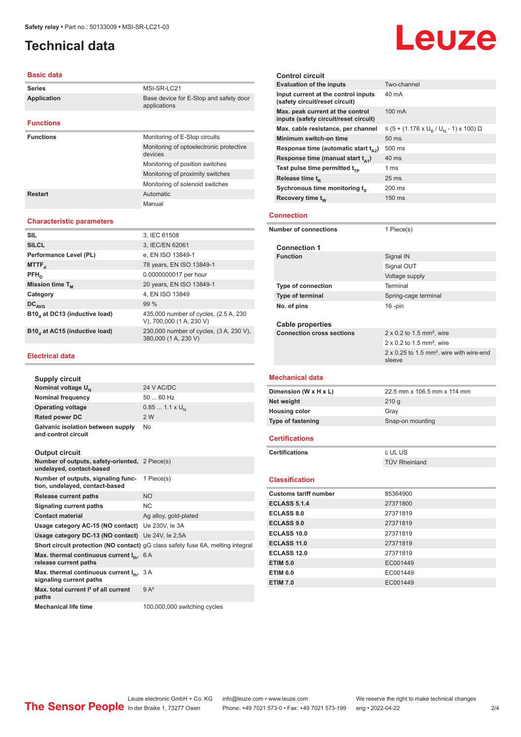### <span id="page-1-0"></span>**Technical data**

#### **Basic data**

| <b>Series</b>      | MSI-SR-LC21                                            |
|--------------------|--------------------------------------------------------|
| <b>Application</b> | Base device for E-Stop and safety door<br>applications |
| <b>Functions</b>   |                                                        |
| <b>Functions</b>   | Monitoring of E-Stop circuits                          |
|                    | Monitoring of optoelectronic protective<br>devices     |
|                    | Monitoring of position switches                        |
|                    | Monitoring of proximity switches                       |
|                    | Monitoring of solenoid switches                        |
| Restart            | Automatic                                              |
|                    | Manual                                                 |

#### **Characteristic parameters**

| <b>SIL</b>                    | 3, IEC 61508                                                       |
|-------------------------------|--------------------------------------------------------------------|
| <b>SILCL</b>                  | 3, IEC/EN 62061                                                    |
| Performance Level (PL)        | e, EN ISO 13849-1                                                  |
| MTTF <sub>d</sub>             | 78 years, EN ISO 13849-1                                           |
| $PFH_n$                       | 0.0000000017 per hour                                              |
| Mission time $T_{M}$          | 20 years, EN ISO 13849-1                                           |
| Category                      | 4. EN ISO 13849                                                    |
| $DC_{AVG}$                    | 99%                                                                |
| B10, at DC13 (inductive load) | 435,000 number of cycles, (2.5 A, 230)<br>V), 700,000 (1 A, 230 V) |
| B10, at AC15 (inductive load) | 230,000 number of cycles, (3 A, 230 V),<br>380,000 (1 A, 230 V)    |

#### **Electrical data**

| Supply circuit                                           |                        |
|----------------------------------------------------------|------------------------|
| Nominal voltage U <sub>N</sub>                           | 24 V AC/DC             |
| <b>Nominal frequency</b>                                 | $5060$ Hz              |
| <b>Operating voltage</b>                                 | $0.851.1 \times U_{N}$ |
| <b>Rated power DC</b>                                    | 2 W                    |
| Galvanic isolation between supply<br>and control circuit | No                     |

#### **Output circuit**

| Output on our                                                                    |                                                                                 |
|----------------------------------------------------------------------------------|---------------------------------------------------------------------------------|
| Number of outputs, safety-oriented, 2 Piece(s)<br>undelayed, contact-based       |                                                                                 |
| Number of outputs, signaling func-<br>tion, undelayed, contact-based             | 1 Piece(s)                                                                      |
| <b>Release current paths</b>                                                     | <b>NO</b>                                                                       |
| Signaling current paths                                                          | <b>NC</b>                                                                       |
| <b>Contact material</b>                                                          | Ag alloy, gold-plated                                                           |
| Usage category AC-15 (NO contact) Ue 230V, le 3A                                 |                                                                                 |
| Usage category DC-13 (NO contact) Ue 24V, le 2,5A                                |                                                                                 |
|                                                                                  | Short circuit protection (NO contact) gG class safety fuse 6A, melting integral |
| Max. thermal continuous current $I_{\text{th}}$ , 6 A<br>release current paths   |                                                                                 |
| Max. thermal continuous current $I_{\text{in}}$ , 3 A<br>signaling current paths |                                                                                 |
| Max, total current <sup>2</sup> of all current<br>paths                          | $9A^2$                                                                          |
| <b>Mechanical life time</b>                                                      | 100,000,000 switching cycles                                                    |

|                       | <b>Control circuit</b>                                                    |                                                                       |
|-----------------------|---------------------------------------------------------------------------|-----------------------------------------------------------------------|
|                       | <b>Evaluation of the inputs</b>                                           | Two-channel                                                           |
|                       | Input current at the control inputs<br>(safety circuit/reset circuit)     | 40 mA                                                                 |
|                       | Max. peak current at the control<br>inputs (safety circuit/reset circuit) | 100 mA                                                                |
|                       | Max. cable resistance, per channel                                        | ≤ (5 + (1.176 x U <sub>R</sub> / U <sub>N</sub> - 1) x 100) Ω         |
|                       | Minimum switch-on time                                                    | 50 ms                                                                 |
|                       | Response time (automatic start $t_{\alpha 2}$ )                           | 500 ms                                                                |
|                       | Response time (manual start $t_{41}$ )                                    | $40$ ms                                                               |
|                       | Test pulse time permitted $t_{TP}$                                        | 1 ms                                                                  |
|                       | Release time $t_{p}$                                                      | 25 <sub>ms</sub>                                                      |
|                       | Sychronous time monitoring ts                                             | 200 ms                                                                |
|                       | Recovery time $t_w$                                                       | 150 ms                                                                |
|                       |                                                                           |                                                                       |
|                       | <b>Connection</b>                                                         |                                                                       |
|                       | <b>Number of connections</b>                                              | 1 Piece(s)                                                            |
|                       | <b>Connection 1</b>                                                       |                                                                       |
|                       | <b>Function</b>                                                           | Signal IN                                                             |
|                       |                                                                           | Signal OUT                                                            |
|                       |                                                                           | Voltage supply                                                        |
|                       | <b>Type of connection</b>                                                 | Terminal                                                              |
|                       | Type of terminal                                                          | Spring-cage terminal                                                  |
|                       | No. of pins                                                               | $16$ -pin                                                             |
|                       |                                                                           |                                                                       |
|                       | <b>Cable properties</b>                                                   |                                                                       |
|                       | <b>Connection cross sections</b>                                          | $2 \times 0.2$ to 1.5 mm <sup>2</sup> , wire                          |
|                       |                                                                           | $2 \times 0.2$ to 1.5 mm <sup>2</sup> , wire                          |
|                       |                                                                           | $2 \times 0.25$ to 1.5 mm <sup>2</sup> , wire with wire-end<br>sleeve |
|                       |                                                                           |                                                                       |
|                       | <b>Mechanical data</b>                                                    |                                                                       |
|                       | Dimension (W x H x L)                                                     | 22.5 mm x 106.5 mm x 114 mm                                           |
|                       | Net weight                                                                | 210g                                                                  |
|                       | <b>Housing color</b>                                                      | Gray                                                                  |
|                       | <b>Type of fastening</b>                                                  | Snap-on mounting                                                      |
| <b>Certifications</b> |                                                                           |                                                                       |
|                       | <b>Certifications</b>                                                     | c UL US                                                               |
|                       |                                                                           | TÜV Rheinland                                                         |
|                       | <b>Classification</b>                                                     |                                                                       |
|                       | <b>Customs tariff number</b>                                              | 85364900                                                              |
|                       | <b>ECLASS 5.1.4</b>                                                       | 27371800                                                              |
|                       | <b>ECLASS 8.0</b>                                                         | 27371819                                                              |
|                       |                                                                           |                                                                       |
|                       | <b>ECLASS 9.0</b>                                                         | 27371819                                                              |
|                       | <b>ECLASS 10.0</b>                                                        | 27371819                                                              |
|                       | ECLASS 11.0                                                               | 27371819                                                              |
|                       | <b>ECLASS 12.0</b>                                                        | 27371819                                                              |

# Leuze

**ETIM 6.0** EC001449 **ETIM 7.0** EC001449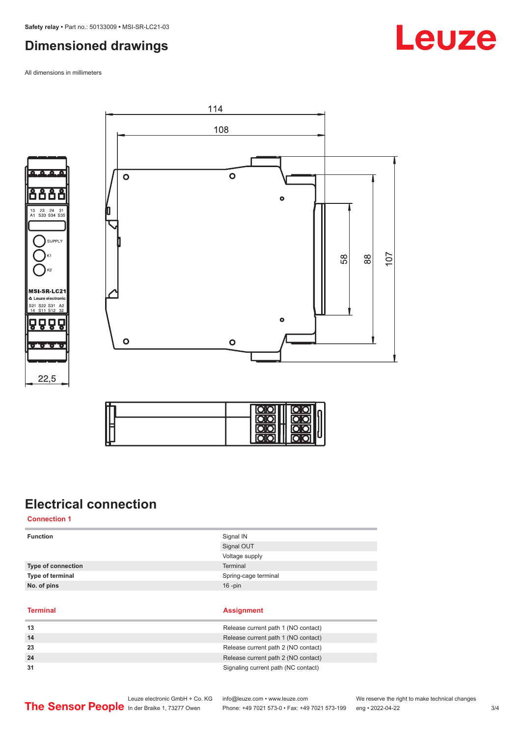## <span id="page-2-0"></span>**Dimensioned drawings**

All dimensions in millimeters





**SUPPLY** 



# **Electrical connection**

**Connection 1**

| <b>Function</b>           | Signal IN            |
|---------------------------|----------------------|
|                           | Signal OUT           |
|                           | Voltage supply       |
| <b>Type of connection</b> | Terminal             |
| Type of terminal          | Spring-cage terminal |
| No. of pins               | $16$ -pin            |
|                           |                      |
| <b>Terminal</b>           | <b>Assignment</b>    |

| 13 | Release current path 1 (NO contact) |
|----|-------------------------------------|
| 14 | Release current path 1 (NO contact) |
| 23 | Release current path 2 (NO contact) |
| 24 | Release current path 2 (NO contact) |
|    | Signaling current path (NC contact) |